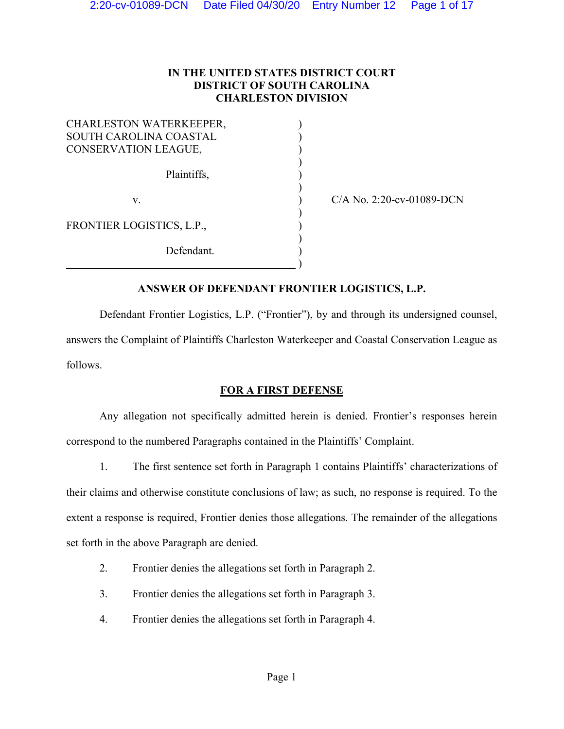## **IN THE UNITED STATES DISTRICT COURT DISTRICT OF SOUTH CAROLINA CHARLESTON DIVISION**

| <b>CHARLESTON WATERKEEPER,</b> |  |
|--------------------------------|--|
| SOUTH CAROLINA COASTAL         |  |
| CONSERVATION LEAGUE,           |  |
| Plaintiffs,                    |  |
| $\mathbf{V}$ .                 |  |
| FRONTIER LOGISTICS, L.P.,      |  |
| Defendant.                     |  |

) C/A No. 2:20-cv-01089-DCN

## **ANSWER OF DEFENDANT FRONTIER LOGISTICS, L.P.**

Defendant Frontier Logistics, L.P. ("Frontier"), by and through its undersigned counsel, answers the Complaint of Plaintiffs Charleston Waterkeeper and Coastal Conservation League as follows.

### **FOR A FIRST DEFENSE**

Any allegation not specifically admitted herein is denied. Frontier's responses herein correspond to the numbered Paragraphs contained in the Plaintiffs' Complaint.

1. The first sentence set forth in Paragraph 1 contains Plaintiffs' characterizations of their claims and otherwise constitute conclusions of law; as such, no response is required. To the extent a response is required, Frontier denies those allegations. The remainder of the allegations set forth in the above Paragraph are denied.

- 2. Frontier denies the allegations set forth in Paragraph 2.
- 3. Frontier denies the allegations set forth in Paragraph 3.
- 4. Frontier denies the allegations set forth in Paragraph 4.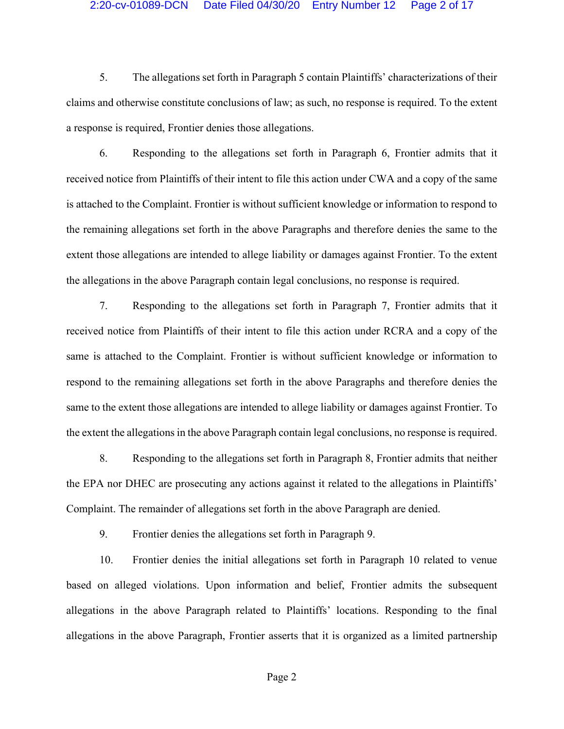5. The allegations set forth in Paragraph 5 contain Plaintiffs' characterizations of their claims and otherwise constitute conclusions of law; as such, no response is required. To the extent a response is required, Frontier denies those allegations.

6. Responding to the allegations set forth in Paragraph 6, Frontier admits that it received notice from Plaintiffs of their intent to file this action under CWA and a copy of the same is attached to the Complaint. Frontier is without sufficient knowledge or information to respond to the remaining allegations set forth in the above Paragraphs and therefore denies the same to the extent those allegations are intended to allege liability or damages against Frontier. To the extent the allegations in the above Paragraph contain legal conclusions, no response is required.

7. Responding to the allegations set forth in Paragraph 7, Frontier admits that it received notice from Plaintiffs of their intent to file this action under RCRA and a copy of the same is attached to the Complaint. Frontier is without sufficient knowledge or information to respond to the remaining allegations set forth in the above Paragraphs and therefore denies the same to the extent those allegations are intended to allege liability or damages against Frontier. To the extent the allegations in the above Paragraph contain legal conclusions, no response is required.

8. Responding to the allegations set forth in Paragraph 8, Frontier admits that neither the EPA nor DHEC are prosecuting any actions against it related to the allegations in Plaintiffs' Complaint. The remainder of allegations set forth in the above Paragraph are denied.

9. Frontier denies the allegations set forth in Paragraph 9.

10. Frontier denies the initial allegations set forth in Paragraph 10 related to venue based on alleged violations. Upon information and belief, Frontier admits the subsequent allegations in the above Paragraph related to Plaintiffs' locations. Responding to the final allegations in the above Paragraph, Frontier asserts that it is organized as a limited partnership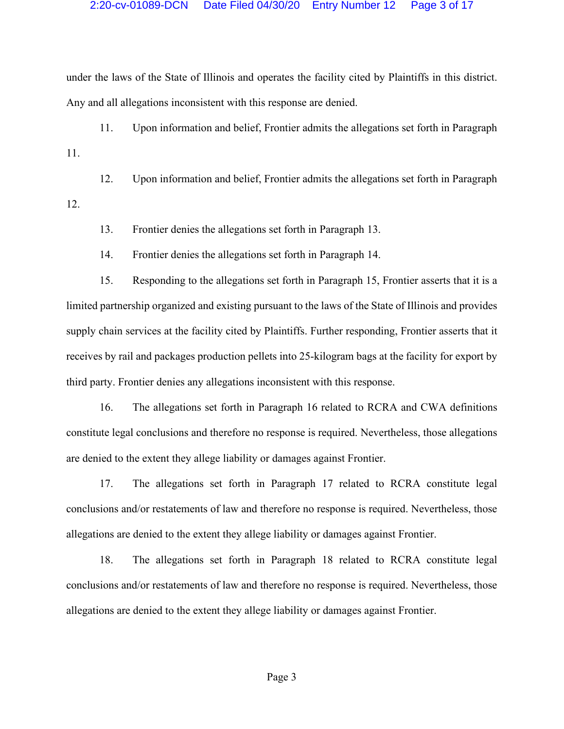under the laws of the State of Illinois and operates the facility cited by Plaintiffs in this district. Any and all allegations inconsistent with this response are denied.

11. Upon information and belief, Frontier admits the allegations set forth in Paragraph 11.

12. Upon information and belief, Frontier admits the allegations set forth in Paragraph 12.

13. Frontier denies the allegations set forth in Paragraph 13.

14. Frontier denies the allegations set forth in Paragraph 14.

15. Responding to the allegations set forth in Paragraph 15, Frontier asserts that it is a limited partnership organized and existing pursuant to the laws of the State of Illinois and provides supply chain services at the facility cited by Plaintiffs. Further responding, Frontier asserts that it receives by rail and packages production pellets into 25-kilogram bags at the facility for export by third party. Frontier denies any allegations inconsistent with this response.

16. The allegations set forth in Paragraph 16 related to RCRA and CWA definitions constitute legal conclusions and therefore no response is required. Nevertheless, those allegations are denied to the extent they allege liability or damages against Frontier.

17. The allegations set forth in Paragraph 17 related to RCRA constitute legal conclusions and/or restatements of law and therefore no response is required. Nevertheless, those allegations are denied to the extent they allege liability or damages against Frontier.

18. The allegations set forth in Paragraph 18 related to RCRA constitute legal conclusions and/or restatements of law and therefore no response is required. Nevertheless, those allegations are denied to the extent they allege liability or damages against Frontier.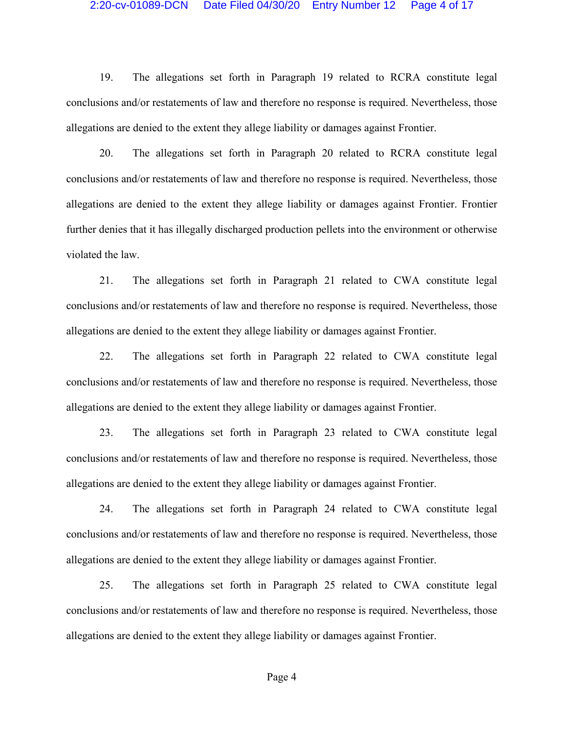#### 2:20-cv-01089-DCN Date Filed 04/30/20 Entry Number 12 Page 4 of 17

19. The allegations set forth in Paragraph 19 related to RCRA constitute legal conclusions and/or restatements of law and therefore no response is required. Nevertheless, those allegations are denied to the extent they allege liability or damages against Frontier.

20. The allegations set forth in Paragraph 20 related to RCRA constitute legal conclusions and/or restatements of law and therefore no response is required. Nevertheless, those allegations are denied to the extent they allege liability or damages against Frontier. Frontier further denies that it has illegally discharged production pellets into the environment or otherwise violated the law.

21. The allegations set forth in Paragraph 21 related to CWA constitute legal conclusions and/or restatements of law and therefore no response is required. Nevertheless, those allegations are denied to the extent they allege liability or damages against Frontier.

22. The allegations set forth in Paragraph 22 related to CWA constitute legal conclusions and/or restatements of law and therefore no response is required. Nevertheless, those allegations are denied to the extent they allege liability or damages against Frontier.

23. The allegations set forth in Paragraph 23 related to CWA constitute legal conclusions and/or restatements of law and therefore no response is required. Nevertheless, those allegations are denied to the extent they allege liability or damages against Frontier.

24. The allegations set forth in Paragraph 24 related to CWA constitute legal conclusions and/or restatements of law and therefore no response is required. Nevertheless, those allegations are denied to the extent they allege liability or damages against Frontier.

25. The allegations set forth in Paragraph 25 related to CWA constitute legal conclusions and/or restatements of law and therefore no response is required. Nevertheless, those allegations are denied to the extent they allege liability or damages against Frontier.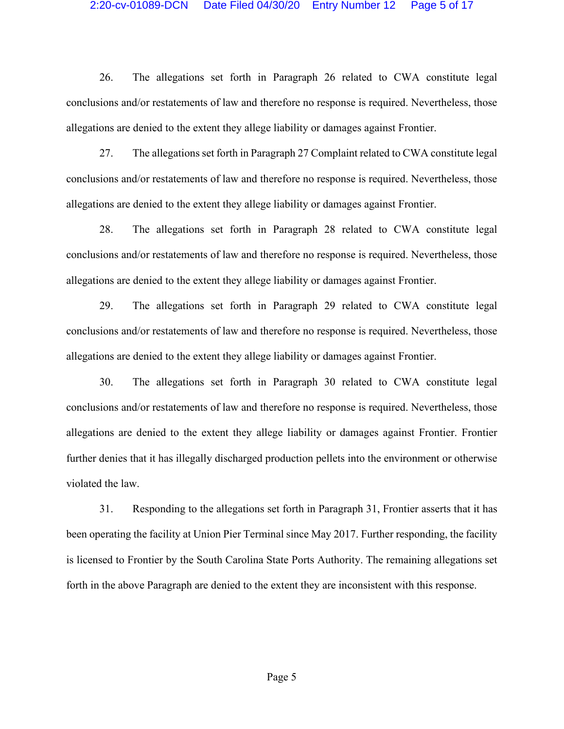#### 2:20-cv-01089-DCN Date Filed 04/30/20 Entry Number 12 Page 5 of 17

26. The allegations set forth in Paragraph 26 related to CWA constitute legal conclusions and/or restatements of law and therefore no response is required. Nevertheless, those allegations are denied to the extent they allege liability or damages against Frontier.

27. The allegations set forth in Paragraph 27 Complaint related to CWA constitute legal conclusions and/or restatements of law and therefore no response is required. Nevertheless, those allegations are denied to the extent they allege liability or damages against Frontier.

28. The allegations set forth in Paragraph 28 related to CWA constitute legal conclusions and/or restatements of law and therefore no response is required. Nevertheless, those allegations are denied to the extent they allege liability or damages against Frontier.

29. The allegations set forth in Paragraph 29 related to CWA constitute legal conclusions and/or restatements of law and therefore no response is required. Nevertheless, those allegations are denied to the extent they allege liability or damages against Frontier.

30. The allegations set forth in Paragraph 30 related to CWA constitute legal conclusions and/or restatements of law and therefore no response is required. Nevertheless, those allegations are denied to the extent they allege liability or damages against Frontier. Frontier further denies that it has illegally discharged production pellets into the environment or otherwise violated the law.

31. Responding to the allegations set forth in Paragraph 31, Frontier asserts that it has been operating the facility at Union Pier Terminal since May 2017. Further responding, the facility is licensed to Frontier by the South Carolina State Ports Authority. The remaining allegations set forth in the above Paragraph are denied to the extent they are inconsistent with this response.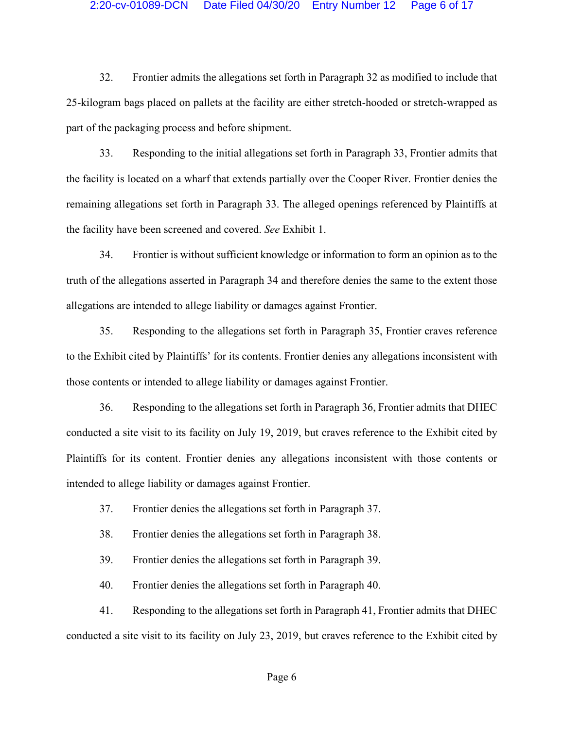## 2:20-cv-01089-DCN Date Filed 04/30/20 Entry Number 12 Page 6 of 17

32. Frontier admits the allegations set forth in Paragraph 32 as modified to include that 25-kilogram bags placed on pallets at the facility are either stretch-hooded or stretch-wrapped as part of the packaging process and before shipment.

33. Responding to the initial allegations set forth in Paragraph 33, Frontier admits that the facility is located on a wharf that extends partially over the Cooper River. Frontier denies the remaining allegations set forth in Paragraph 33. The alleged openings referenced by Plaintiffs at the facility have been screened and covered. *See* Exhibit 1.

34. Frontier is without sufficient knowledge or information to form an opinion as to the truth of the allegations asserted in Paragraph 34 and therefore denies the same to the extent those allegations are intended to allege liability or damages against Frontier.

35. Responding to the allegations set forth in Paragraph 35, Frontier craves reference to the Exhibit cited by Plaintiffs' for its contents. Frontier denies any allegations inconsistent with those contents or intended to allege liability or damages against Frontier.

36. Responding to the allegations set forth in Paragraph 36, Frontier admits that DHEC conducted a site visit to its facility on July 19, 2019, but craves reference to the Exhibit cited by Plaintiffs for its content. Frontier denies any allegations inconsistent with those contents or intended to allege liability or damages against Frontier.

- 37. Frontier denies the allegations set forth in Paragraph 37.
- 38. Frontier denies the allegations set forth in Paragraph 38.
- 39. Frontier denies the allegations set forth in Paragraph 39.
- 40. Frontier denies the allegations set forth in Paragraph 40.

41. Responding to the allegations set forth in Paragraph 41, Frontier admits that DHEC conducted a site visit to its facility on July 23, 2019, but craves reference to the Exhibit cited by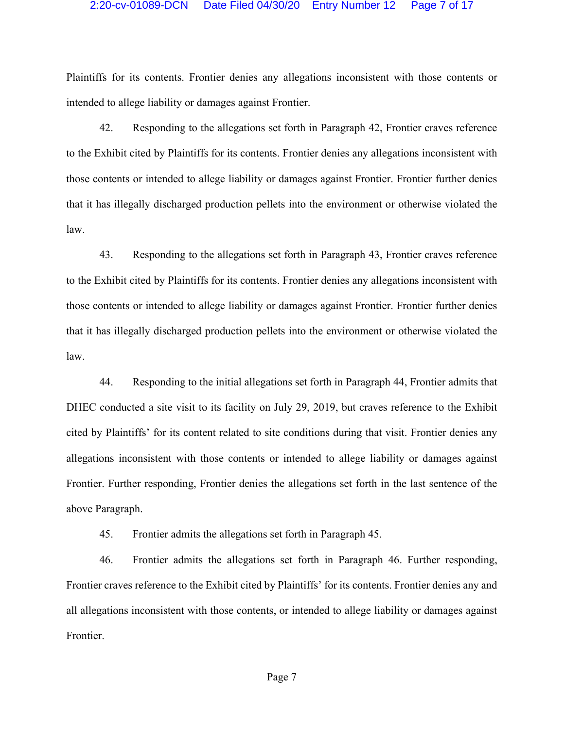#### 2:20-cv-01089-DCN Date Filed 04/30/20 Entry Number 12 Page 7 of 17

Plaintiffs for its contents. Frontier denies any allegations inconsistent with those contents or intended to allege liability or damages against Frontier.

42. Responding to the allegations set forth in Paragraph 42, Frontier craves reference to the Exhibit cited by Plaintiffs for its contents. Frontier denies any allegations inconsistent with those contents or intended to allege liability or damages against Frontier. Frontier further denies that it has illegally discharged production pellets into the environment or otherwise violated the law.

43. Responding to the allegations set forth in Paragraph 43, Frontier craves reference to the Exhibit cited by Plaintiffs for its contents. Frontier denies any allegations inconsistent with those contents or intended to allege liability or damages against Frontier. Frontier further denies that it has illegally discharged production pellets into the environment or otherwise violated the law.

44. Responding to the initial allegations set forth in Paragraph 44, Frontier admits that DHEC conducted a site visit to its facility on July 29, 2019, but craves reference to the Exhibit cited by Plaintiffs' for its content related to site conditions during that visit. Frontier denies any allegations inconsistent with those contents or intended to allege liability or damages against Frontier. Further responding, Frontier denies the allegations set forth in the last sentence of the above Paragraph.

45. Frontier admits the allegations set forth in Paragraph 45.

46. Frontier admits the allegations set forth in Paragraph 46. Further responding, Frontier craves reference to the Exhibit cited by Plaintiffs' for its contents. Frontier denies any and all allegations inconsistent with those contents, or intended to allege liability or damages against Frontier.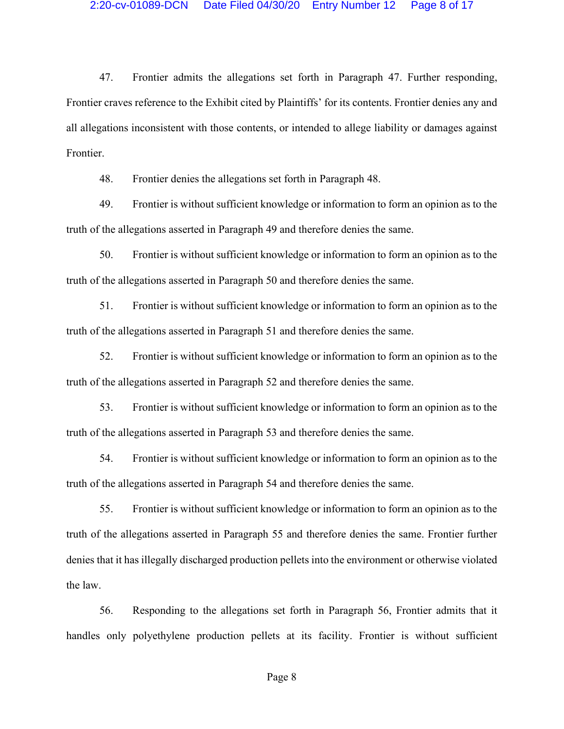47. Frontier admits the allegations set forth in Paragraph 47. Further responding, Frontier craves reference to the Exhibit cited by Plaintiffs' for its contents. Frontier denies any and all allegations inconsistent with those contents, or intended to allege liability or damages against Frontier.

48. Frontier denies the allegations set forth in Paragraph 48.

49. Frontier is without sufficient knowledge or information to form an opinion as to the truth of the allegations asserted in Paragraph 49 and therefore denies the same.

50. Frontier is without sufficient knowledge or information to form an opinion as to the truth of the allegations asserted in Paragraph 50 and therefore denies the same.

51. Frontier is without sufficient knowledge or information to form an opinion as to the truth of the allegations asserted in Paragraph 51 and therefore denies the same.

52. Frontier is without sufficient knowledge or information to form an opinion as to the truth of the allegations asserted in Paragraph 52 and therefore denies the same.

53. Frontier is without sufficient knowledge or information to form an opinion as to the truth of the allegations asserted in Paragraph 53 and therefore denies the same.

54. Frontier is without sufficient knowledge or information to form an opinion as to the truth of the allegations asserted in Paragraph 54 and therefore denies the same.

55. Frontier is without sufficient knowledge or information to form an opinion as to the truth of the allegations asserted in Paragraph 55 and therefore denies the same. Frontier further denies that it has illegally discharged production pellets into the environment or otherwise violated the law.

56. Responding to the allegations set forth in Paragraph 56, Frontier admits that it handles only polyethylene production pellets at its facility. Frontier is without sufficient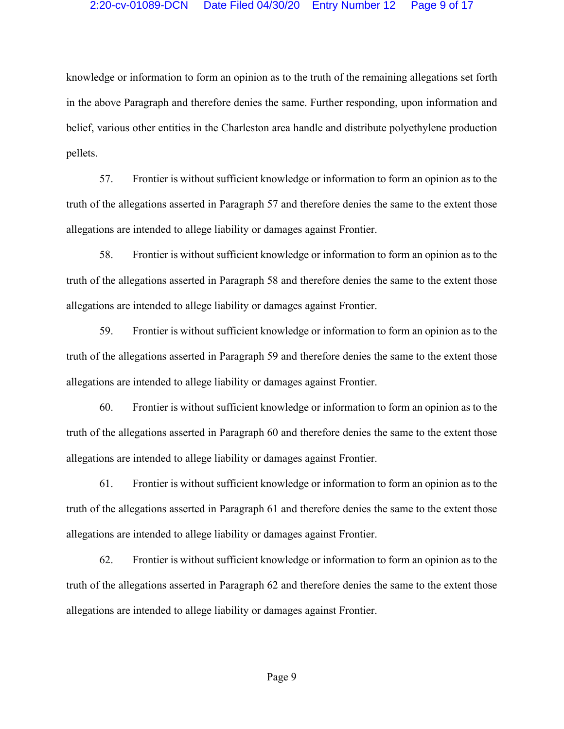#### 2:20-cv-01089-DCN Date Filed 04/30/20 Entry Number 12 Page 9 of 17

knowledge or information to form an opinion as to the truth of the remaining allegations set forth in the above Paragraph and therefore denies the same. Further responding, upon information and belief, various other entities in the Charleston area handle and distribute polyethylene production pellets.

57. Frontier is without sufficient knowledge or information to form an opinion as to the truth of the allegations asserted in Paragraph 57 and therefore denies the same to the extent those allegations are intended to allege liability or damages against Frontier.

58. Frontier is without sufficient knowledge or information to form an opinion as to the truth of the allegations asserted in Paragraph 58 and therefore denies the same to the extent those allegations are intended to allege liability or damages against Frontier.

59. Frontier is without sufficient knowledge or information to form an opinion as to the truth of the allegations asserted in Paragraph 59 and therefore denies the same to the extent those allegations are intended to allege liability or damages against Frontier.

60. Frontier is without sufficient knowledge or information to form an opinion as to the truth of the allegations asserted in Paragraph 60 and therefore denies the same to the extent those allegations are intended to allege liability or damages against Frontier.

61. Frontier is without sufficient knowledge or information to form an opinion as to the truth of the allegations asserted in Paragraph 61 and therefore denies the same to the extent those allegations are intended to allege liability or damages against Frontier.

62. Frontier is without sufficient knowledge or information to form an opinion as to the truth of the allegations asserted in Paragraph 62 and therefore denies the same to the extent those allegations are intended to allege liability or damages against Frontier.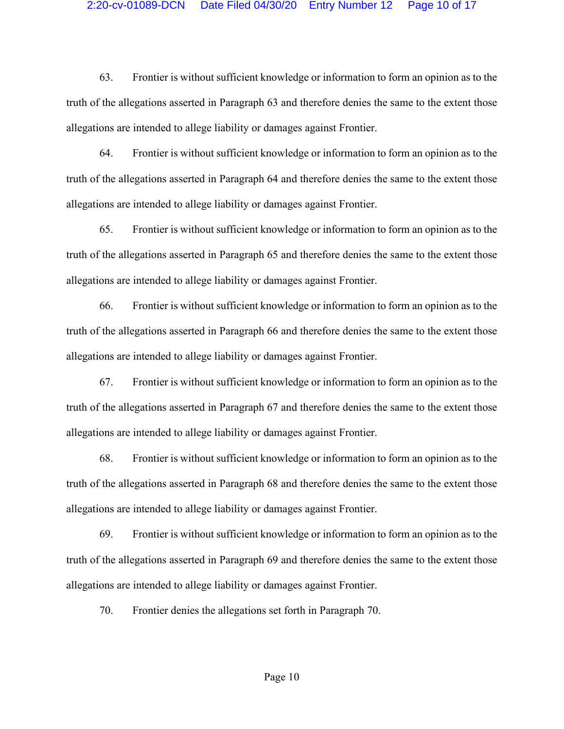63. Frontier is without sufficient knowledge or information to form an opinion as to the truth of the allegations asserted in Paragraph 63 and therefore denies the same to the extent those allegations are intended to allege liability or damages against Frontier.

64. Frontier is without sufficient knowledge or information to form an opinion as to the truth of the allegations asserted in Paragraph 64 and therefore denies the same to the extent those allegations are intended to allege liability or damages against Frontier.

65. Frontier is without sufficient knowledge or information to form an opinion as to the truth of the allegations asserted in Paragraph 65 and therefore denies the same to the extent those allegations are intended to allege liability or damages against Frontier.

66. Frontier is without sufficient knowledge or information to form an opinion as to the truth of the allegations asserted in Paragraph 66 and therefore denies the same to the extent those allegations are intended to allege liability or damages against Frontier.

67. Frontier is without sufficient knowledge or information to form an opinion as to the truth of the allegations asserted in Paragraph 67 and therefore denies the same to the extent those allegations are intended to allege liability or damages against Frontier.

68. Frontier is without sufficient knowledge or information to form an opinion as to the truth of the allegations asserted in Paragraph 68 and therefore denies the same to the extent those allegations are intended to allege liability or damages against Frontier.

69. Frontier is without sufficient knowledge or information to form an opinion as to the truth of the allegations asserted in Paragraph 69 and therefore denies the same to the extent those allegations are intended to allege liability or damages against Frontier.

70. Frontier denies the allegations set forth in Paragraph 70.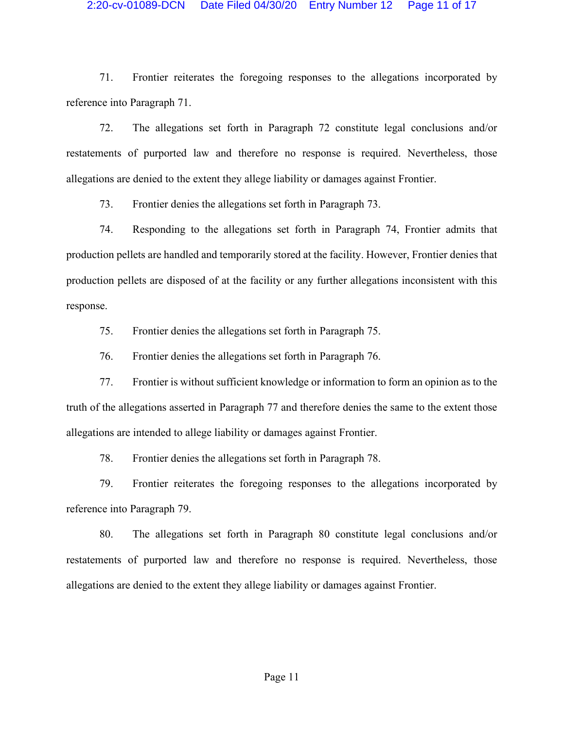71. Frontier reiterates the foregoing responses to the allegations incorporated by reference into Paragraph 71.

72. The allegations set forth in Paragraph 72 constitute legal conclusions and/or restatements of purported law and therefore no response is required. Nevertheless, those allegations are denied to the extent they allege liability or damages against Frontier.

73. Frontier denies the allegations set forth in Paragraph 73.

74. Responding to the allegations set forth in Paragraph 74, Frontier admits that production pellets are handled and temporarily stored at the facility. However, Frontier denies that production pellets are disposed of at the facility or any further allegations inconsistent with this response.

75. Frontier denies the allegations set forth in Paragraph 75.

76. Frontier denies the allegations set forth in Paragraph 76.

77. Frontier is without sufficient knowledge or information to form an opinion as to the truth of the allegations asserted in Paragraph 77 and therefore denies the same to the extent those allegations are intended to allege liability or damages against Frontier.

78. Frontier denies the allegations set forth in Paragraph 78.

79. Frontier reiterates the foregoing responses to the allegations incorporated by reference into Paragraph 79.

80. The allegations set forth in Paragraph 80 constitute legal conclusions and/or restatements of purported law and therefore no response is required. Nevertheless, those allegations are denied to the extent they allege liability or damages against Frontier.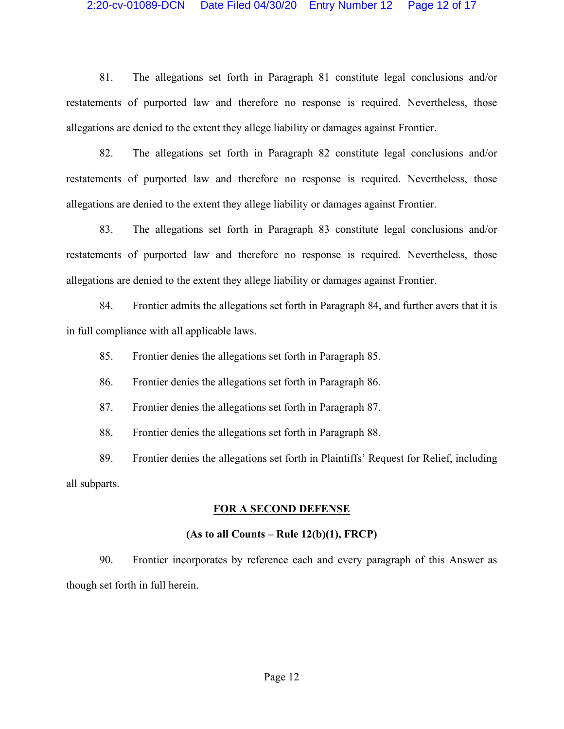## 2:20-cv-01089-DCN Date Filed 04/30/20 Entry Number 12 Page 12 of 17

81. The allegations set forth in Paragraph 81 constitute legal conclusions and/or restatements of purported law and therefore no response is required. Nevertheless, those allegations are denied to the extent they allege liability or damages against Frontier.

82. The allegations set forth in Paragraph 82 constitute legal conclusions and/or restatements of purported law and therefore no response is required. Nevertheless, those allegations are denied to the extent they allege liability or damages against Frontier.

83. The allegations set forth in Paragraph 83 constitute legal conclusions and/or restatements of purported law and therefore no response is required. Nevertheless, those allegations are denied to the extent they allege liability or damages against Frontier.

84. Frontier admits the allegations set forth in Paragraph 84, and further avers that it is in full compliance with all applicable laws.

85. Frontier denies the allegations set forth in Paragraph 85.

86. Frontier denies the allegations set forth in Paragraph 86.

87. Frontier denies the allegations set forth in Paragraph 87.

88. Frontier denies the allegations set forth in Paragraph 88.

89. Frontier denies the allegations set forth in Plaintiffs' Request for Relief, including all subparts.

#### **FOR A SECOND DEFENSE**

## **(As to all Counts – Rule 12(b)(1), FRCP)**

90. Frontier incorporates by reference each and every paragraph of this Answer as though set forth in full herein.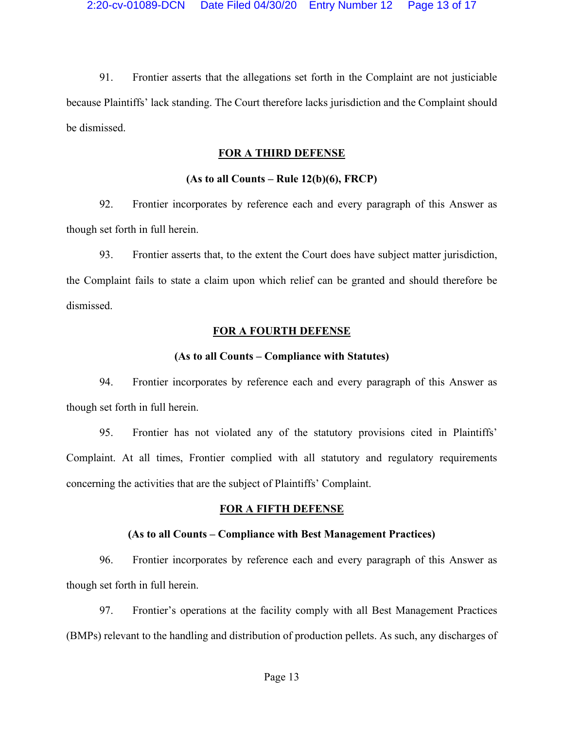91. Frontier asserts that the allegations set forth in the Complaint are not justiciable because Plaintiffs' lack standing. The Court therefore lacks jurisdiction and the Complaint should be dismissed.

### **FOR A THIRD DEFENSE**

## **(As to all Counts – Rule 12(b)(6), FRCP)**

92. Frontier incorporates by reference each and every paragraph of this Answer as though set forth in full herein.

93. Frontier asserts that, to the extent the Court does have subject matter jurisdiction, the Complaint fails to state a claim upon which relief can be granted and should therefore be dismissed.

## **FOR A FOURTH DEFENSE**

#### **(As to all Counts – Compliance with Statutes)**

94. Frontier incorporates by reference each and every paragraph of this Answer as though set forth in full herein.

95. Frontier has not violated any of the statutory provisions cited in Plaintiffs' Complaint. At all times, Frontier complied with all statutory and regulatory requirements concerning the activities that are the subject of Plaintiffs' Complaint.

#### **FOR A FIFTH DEFENSE**

## **(As to all Counts – Compliance with Best Management Practices)**

96. Frontier incorporates by reference each and every paragraph of this Answer as though set forth in full herein.

97. Frontier's operations at the facility comply with all Best Management Practices (BMPs) relevant to the handling and distribution of production pellets. As such, any discharges of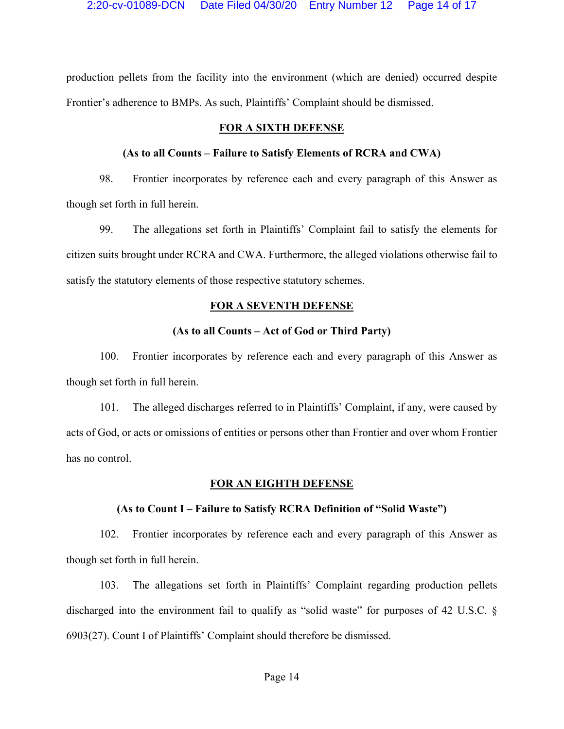production pellets from the facility into the environment (which are denied) occurred despite Frontier's adherence to BMPs. As such, Plaintiffs' Complaint should be dismissed.

### **FOR A SIXTH DEFENSE**

#### **(As to all Counts – Failure to Satisfy Elements of RCRA and CWA)**

98. Frontier incorporates by reference each and every paragraph of this Answer as though set forth in full herein.

99. The allegations set forth in Plaintiffs' Complaint fail to satisfy the elements for citizen suits brought under RCRA and CWA. Furthermore, the alleged violations otherwise fail to satisfy the statutory elements of those respective statutory schemes.

#### **FOR A SEVENTH DEFENSE**

## **(As to all Counts – Act of God or Third Party)**

100. Frontier incorporates by reference each and every paragraph of this Answer as though set forth in full herein.

101. The alleged discharges referred to in Plaintiffs' Complaint, if any, were caused by acts of God, or acts or omissions of entities or persons other than Frontier and over whom Frontier has no control.

#### **FOR AN EIGHTH DEFENSE**

#### **(As to Count I – Failure to Satisfy RCRA Definition of "Solid Waste")**

102. Frontier incorporates by reference each and every paragraph of this Answer as though set forth in full herein.

103. The allegations set forth in Plaintiffs' Complaint regarding production pellets discharged into the environment fail to qualify as "solid waste" for purposes of 42 U.S.C. § 6903(27). Count I of Plaintiffs' Complaint should therefore be dismissed.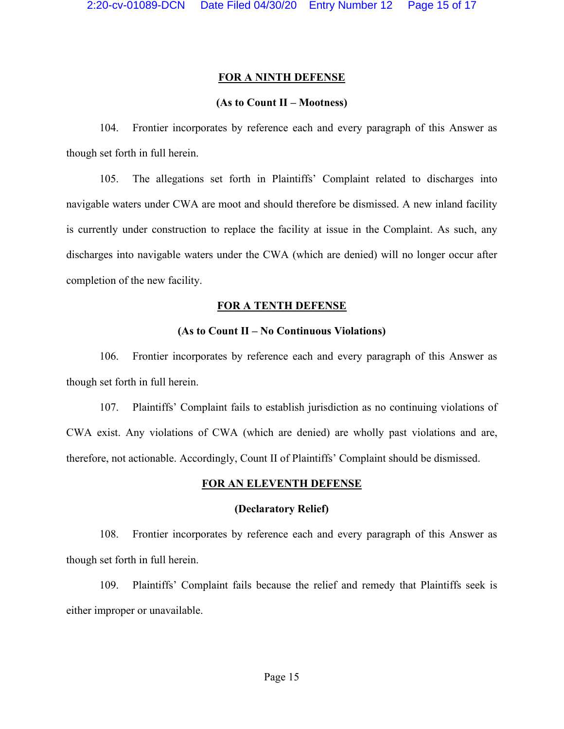#### **FOR A NINTH DEFENSE**

## **(As to Count II – Mootness)**

104. Frontier incorporates by reference each and every paragraph of this Answer as though set forth in full herein.

105. The allegations set forth in Plaintiffs' Complaint related to discharges into navigable waters under CWA are moot and should therefore be dismissed. A new inland facility is currently under construction to replace the facility at issue in the Complaint. As such, any discharges into navigable waters under the CWA (which are denied) will no longer occur after completion of the new facility.

#### **FOR A TENTH DEFENSE**

## **(As to Count II – No Continuous Violations)**

106. Frontier incorporates by reference each and every paragraph of this Answer as though set forth in full herein.

107. Plaintiffs' Complaint fails to establish jurisdiction as no continuing violations of CWA exist. Any violations of CWA (which are denied) are wholly past violations and are, therefore, not actionable. Accordingly, Count II of Plaintiffs' Complaint should be dismissed.

#### **FOR AN ELEVENTH DEFENSE**

## **(Declaratory Relief)**

108. Frontier incorporates by reference each and every paragraph of this Answer as though set forth in full herein.

109. Plaintiffs' Complaint fails because the relief and remedy that Plaintiffs seek is either improper or unavailable.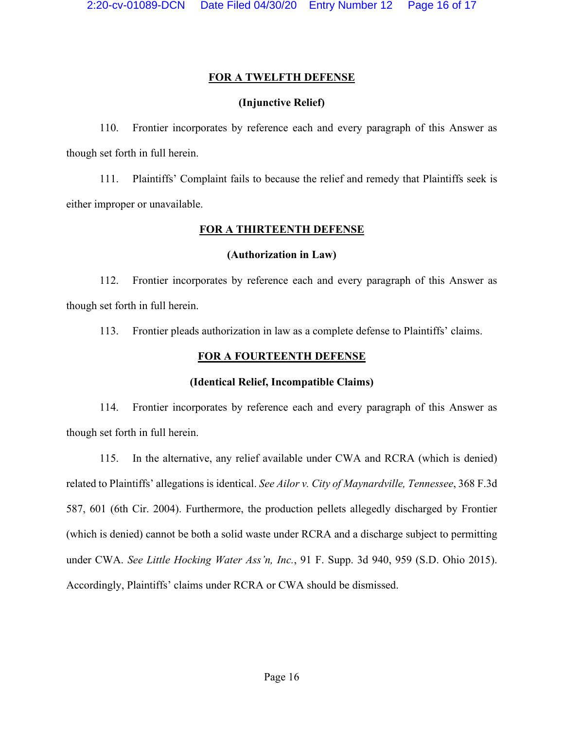# **FOR A TWELFTH DEFENSE**

# **(Injunctive Relief)**

110. Frontier incorporates by reference each and every paragraph of this Answer as though set forth in full herein.

111. Plaintiffs' Complaint fails to because the relief and remedy that Plaintiffs seek is either improper or unavailable.

# **FOR A THIRTEENTH DEFENSE**

## **(Authorization in Law)**

112. Frontier incorporates by reference each and every paragraph of this Answer as though set forth in full herein.

113. Frontier pleads authorization in law as a complete defense to Plaintiffs' claims.

# **FOR A FOURTEENTH DEFENSE**

# **(Identical Relief, Incompatible Claims)**

114. Frontier incorporates by reference each and every paragraph of this Answer as though set forth in full herein.

115. In the alternative, any relief available under CWA and RCRA (which is denied) related to Plaintiffs' allegations is identical. *See Ailor v. City of Maynardville, Tennessee*, 368 F.3d 587, 601 (6th Cir. 2004). Furthermore, the production pellets allegedly discharged by Frontier (which is denied) cannot be both a solid waste under RCRA and a discharge subject to permitting under CWA. *See Little Hocking Water Ass'n, Inc.*, 91 F. Supp. 3d 940, 959 (S.D. Ohio 2015). Accordingly, Plaintiffs' claims under RCRA or CWA should be dismissed.